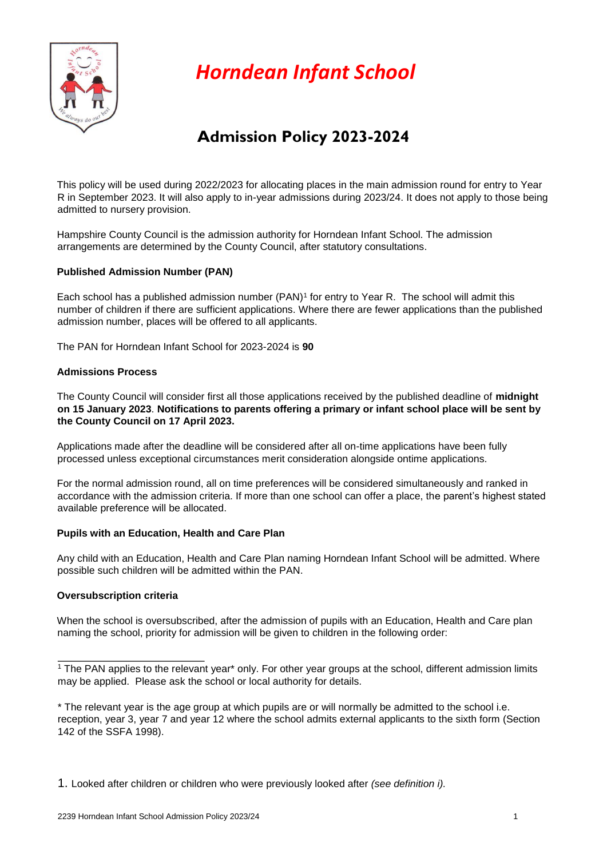

*Horndean Infant School*

# **Admission Policy 2023-2024**

This policy will be used during 2022/2023 for allocating places in the main admission round for entry to Year R in September 2023. It will also apply to in-year admissions during 2023/24. It does not apply to those being admitted to nursery provision.

Hampshire County Council is the admission authority for Horndean Infant School. The admission arrangements are determined by the County Council, after statutory consultations.

# **Published Admission Number (PAN)**

Each school has a published admission number (PAN)<sup>1</sup> for entry to Year R. The school will admit this number of children if there are sufficient applications. Where there are fewer applications than the published admission number, places will be offered to all applicants.

The PAN for Horndean Infant School for 2023-2024 is **90** 

# **Admissions Process**

The County Council will consider first all those applications received by the published deadline of **midnight on 15 January 2023**. **Notifications to parents offering a primary or infant school place will be sent by the County Council on 17 April 2023.** 

Applications made after the deadline will be considered after all on-time applications have been fully processed unless exceptional circumstances merit consideration alongside ontime applications.

For the normal admission round, all on time preferences will be considered simultaneously and ranked in accordance with the admission criteria. If more than one school can offer a place, the parent's highest stated available preference will be allocated.

# **Pupils with an Education, Health and Care Plan**

Any child with an Education, Health and Care Plan naming Horndean Infant School will be admitted. Where possible such children will be admitted within the PAN.

# **Oversubscription criteria**

When the school is oversubscribed, after the admission of pupils with an Education. Health and Care plan naming the school, priority for admission will be given to children in the following order:

1. Looked after children or children who were previously looked after *(see definition i).* 

<sup>&</sup>lt;sup>1</sup> The PAN applies to the relevant year<sup>\*</sup> only. For other year groups at the school, different admission limits may be applied. Please ask the school or local authority for details.

<sup>\*</sup> The relevant year is the age group at which pupils are or will normally be admitted to the school i.e. reception, year 3, year 7 and year 12 where the school admits external applicants to the sixth form (Section 142 of the SSFA 1998).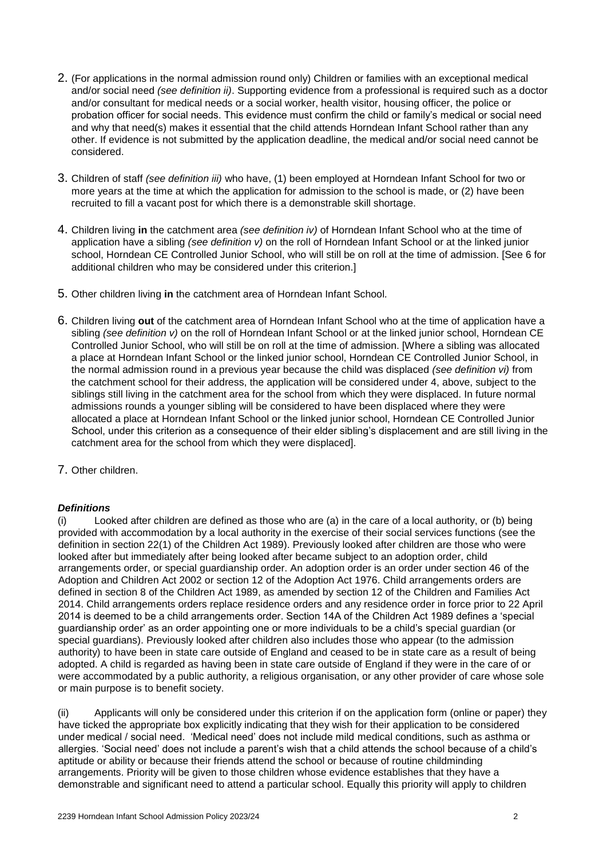- 2. (For applications in the normal admission round only) Children or families with an exceptional medical and/or social need *(see definition ii)*. Supporting evidence from a professional is required such as a doctor and/or consultant for medical needs or a social worker, health visitor, housing officer, the police or probation officer for social needs. This evidence must confirm the child or family's medical or social need and why that need(s) makes it essential that the child attends Horndean Infant School rather than any other. If evidence is not submitted by the application deadline, the medical and/or social need cannot be considered.
- 3. Children of staff *(see definition iii)* who have, (1) been employed at Horndean Infant School for two or more years at the time at which the application for admission to the school is made, or (2) have been recruited to fill a vacant post for which there is a demonstrable skill shortage.
- 4. Children living **in** the catchment area *(see definition iv)* of Horndean Infant School who at the time of application have a sibling *(see definition v)* on the roll of Horndean Infant School or at the linked junior school, Horndean CE Controlled Junior School, who will still be on roll at the time of admission. [See 6 for additional children who may be considered under this criterion.]
- 5. Other children living **in** the catchment area of Horndean Infant School*.*
- 6. Children living **out** of the catchment area of Horndean Infant School who at the time of application have a sibling *(see definition v)* on the roll of Horndean Infant School or at the linked junior school, Horndean CE Controlled Junior School, who will still be on roll at the time of admission. [Where a sibling was allocated a place at Horndean Infant School or the linked junior school, Horndean CE Controlled Junior School, in the normal admission round in a previous year because the child was displaced *(see definition vi)* from the catchment school for their address, the application will be considered under 4, above, subject to the siblings still living in the catchment area for the school from which they were displaced. In future normal admissions rounds a younger sibling will be considered to have been displaced where they were allocated a place at Horndean Infant School or the linked junior school, Horndean CE Controlled Junior School, under this criterion as a consequence of their elder sibling's displacement and are still living in the catchment area for the school from which they were displaced].
- 7. Other children.

# *Definitions*

(i) Looked after children are defined as those who are (a) in the care of a local authority, or (b) being provided with accommodation by a local authority in the exercise of their social services functions (see the definition in section 22(1) of the Children Act 1989). Previously looked after children are those who were looked after but immediately after being looked after became subject to an adoption order, child arrangements order, or special guardianship order. An adoption order is an order under section 46 of the Adoption and Children Act 2002 or section 12 of the Adoption Act 1976. Child arrangements orders are defined in section 8 of the Children Act 1989, as amended by section 12 of the Children and Families Act 2014. Child arrangements orders replace residence orders and any residence order in force prior to 22 April 2014 is deemed to be a child arrangements order. Section 14A of the Children Act 1989 defines a 'special guardianship order' as an order appointing one or more individuals to be a child's special guardian (or special guardians). Previously looked after children also includes those who appear (to the admission authority) to have been in state care outside of England and ceased to be in state care as a result of being adopted. A child is regarded as having been in state care outside of England if they were in the care of or were accommodated by a public authority, a religious organisation, or any other provider of care whose sole or main purpose is to benefit society.

(ii) Applicants will only be considered under this criterion if on the application form (online or paper) they have ticked the appropriate box explicitly indicating that they wish for their application to be considered under medical / social need. 'Medical need' does not include mild medical conditions, such as asthma or allergies. 'Social need' does not include a parent's wish that a child attends the school because of a child's aptitude or ability or because their friends attend the school or because of routine childminding arrangements. Priority will be given to those children whose evidence establishes that they have a demonstrable and significant need to attend a particular school. Equally this priority will apply to children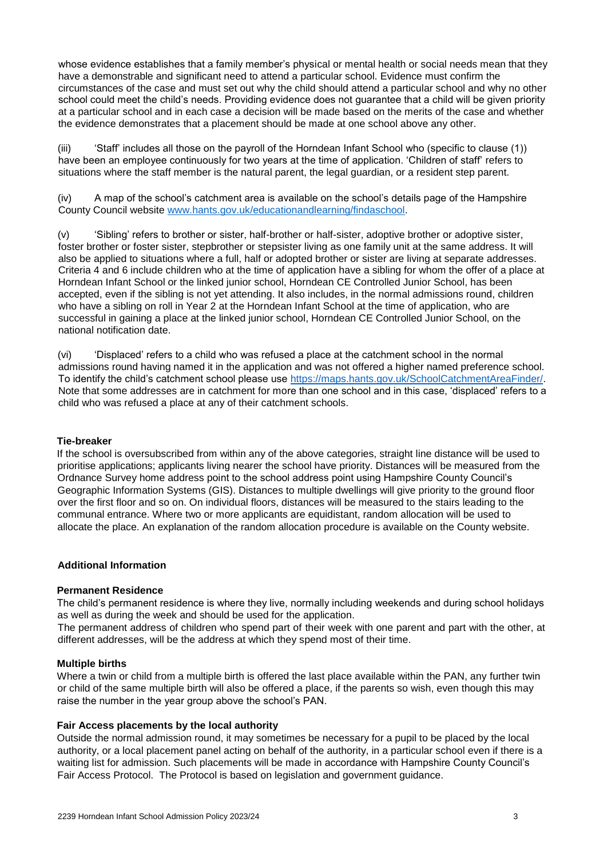whose evidence establishes that a family member's physical or mental health or social needs mean that they have a demonstrable and significant need to attend a particular school. Evidence must confirm the circumstances of the case and must set out why the child should attend a particular school and why no other school could meet the child's needs. Providing evidence does not guarantee that a child will be given priority at a particular school and in each case a decision will be made based on the merits of the case and whether the evidence demonstrates that a placement should be made at one school above any other.

(iii) 'Staff' includes all those on the payroll of the Horndean Infant School who (specific to clause (1)) have been an employee continuously for two years at the time of application. 'Children of staff' refers to situations where the staff member is the natural parent, the legal guardian, or a resident step parent.

(iv) A map of the school's catchment area is available on the school's details page of the Hampshire County Council website www.hants.gov.uk/educationandlearning/findaschool.

(v) 'Sibling' refers to brother or sister, half-brother or half-sister, adoptive brother or adoptive sister, foster brother or foster sister, stepbrother or stepsister living as one family unit at the same address. It will also be applied to situations where a full, half or adopted brother or sister are living at separate addresses. Criteria 4 and 6 include children who at the time of application have a sibling for whom the offer of a place at Horndean Infant School or the linked junior school, Horndean CE Controlled Junior School, has been accepted, even if the sibling is not yet attending. It also includes, in the normal admissions round, children who have a sibling on roll in Year 2 at the Horndean Infant School at the time of application, who are successful in gaining a place at the linked junior school, Horndean CE Controlled Junior School, on the national notification date.

(vi) 'Displaced' refers to a child who was refused a place at the catchment school in the normal admissions round having named it in the application and was not offered a higher named preference school. To identify the child's catchment school please use https://maps.hants.gov.uk/SchoolCatchmentAreaFinder/. Note that some addresses are in catchment for more than one school and in this case, 'displaced' refers to a child who was refused a place at any of their catchment schools.

#### **Tie-breaker**

If the school is oversubscribed from within any of the above categories, straight line distance will be used to prioritise applications; applicants living nearer the school have priority. Distances will be measured from the Ordnance Survey home address point to the school address point using Hampshire County Council's Geographic Information Systems (GIS). Distances to multiple dwellings will give priority to the ground floor over the first floor and so on. On individual floors, distances will be measured to the stairs leading to the communal entrance. Where two or more applicants are equidistant, random allocation will be used to allocate the place. An explanation of the random allocation procedure is available on the County website.

## **Additional Information**

#### **Permanent Residence**

The child's permanent residence is where they live, normally including weekends and during school holidays as well as during the week and should be used for the application.

The permanent address of children who spend part of their week with one parent and part with the other, at different addresses, will be the address at which they spend most of their time.

#### **Multiple births**

Where a twin or child from a multiple birth is offered the last place available within the PAN, any further twin or child of the same multiple birth will also be offered a place, if the parents so wish, even though this may raise the number in the year group above the school's PAN.

## **Fair Access placements by the local authority**

Outside the normal admission round, it may sometimes be necessary for a pupil to be placed by the local authority, or a local placement panel acting on behalf of the authority, in a particular school even if there is a waiting list for admission. Such placements will be made in accordance with Hampshire County Council's Fair Access Protocol. The Protocol is based on legislation and government guidance.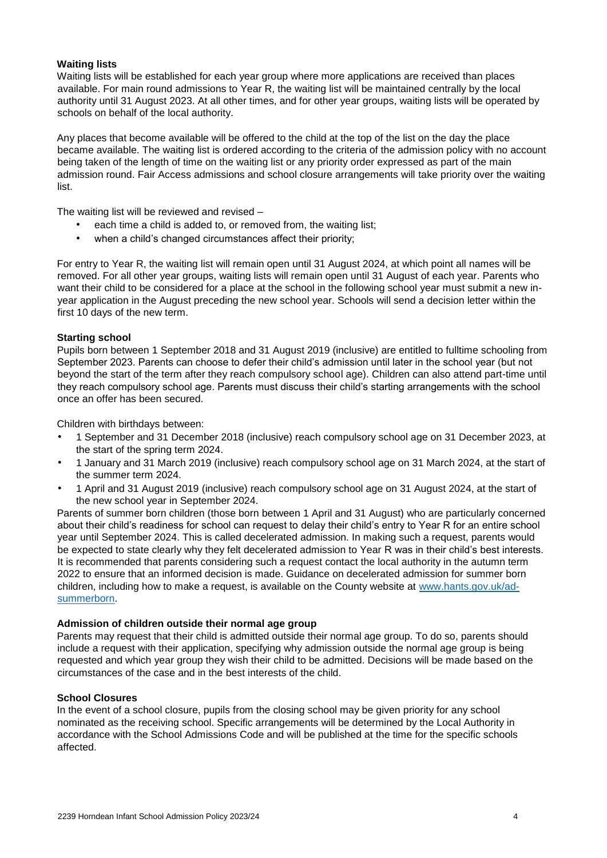## **Waiting lists**

Waiting lists will be established for each year group where more applications are received than places available. For main round admissions to Year R, the waiting list will be maintained centrally by the local authority until 31 August 2023. At all other times, and for other year groups, waiting lists will be operated by schools on behalf of the local authority.

Any places that become available will be offered to the child at the top of the list on the day the place became available. The waiting list is ordered according to the criteria of the admission policy with no account being taken of the length of time on the waiting list or any priority order expressed as part of the main admission round. Fair Access admissions and school closure arrangements will take priority over the waiting list.

The waiting list will be reviewed and revised –

- each time a child is added to, or removed from, the waiting list;
- when a child's changed circumstances affect their priority;

For entry to Year R, the waiting list will remain open until 31 August 2024, at which point all names will be removed. For all other year groups, waiting lists will remain open until 31 August of each year. Parents who want their child to be considered for a place at the school in the following school year must submit a new inyear application in the August preceding the new school year. Schools will send a decision letter within the first 10 days of the new term.

## **Starting school**

Pupils born between 1 September 2018 and 31 August 2019 (inclusive) are entitled to fulltime schooling from September 2023. Parents can choose to defer their child's admission until later in the school year (but not beyond the start of the term after they reach compulsory school age). Children can also attend part-time until they reach compulsory school age. Parents must discuss their child's starting arrangements with the school once an offer has been secured.

Children with birthdays between:

- 1 September and 31 December 2018 (inclusive) reach compulsory school age on 31 December 2023, at the start of the spring term 2024.
- 1 January and 31 March 2019 (inclusive) reach compulsory school age on 31 March 2024, at the start of the summer term 2024.
- 1 April and 31 August 2019 (inclusive) reach compulsory school age on 31 August 2024, at the start of the new school year in September 2024.

Parents of summer born children (those born between 1 April and 31 August) who are particularly concerned about their child's readiness for school can request to delay their child's entry to Year R for an entire school year until September 2024. This is called decelerated admission. In making such a request, parents would be expected to state clearly why they felt decelerated admission to Year R was in their child's best interests. It is recommended that parents considering such a request contact the local authority in the autumn term 2022 to ensure that an informed decision is made. Guidance on decelerated admission for summer born children, including how to make a request, is available on the County website at www.hants.gov.uk/adsummerborn.

#### **Admission of children outside their normal age group**

Parents may request that their child is admitted outside their normal age group. To do so, parents should include a request with their application, specifying why admission outside the normal age group is being requested and which year group they wish their child to be admitted. Decisions will be made based on the circumstances of the case and in the best interests of the child.

#### **School Closures**

In the event of a school closure, pupils from the closing school may be given priority for any school nominated as the receiving school. Specific arrangements will be determined by the Local Authority in accordance with the School Admissions Code and will be published at the time for the specific schools affected.